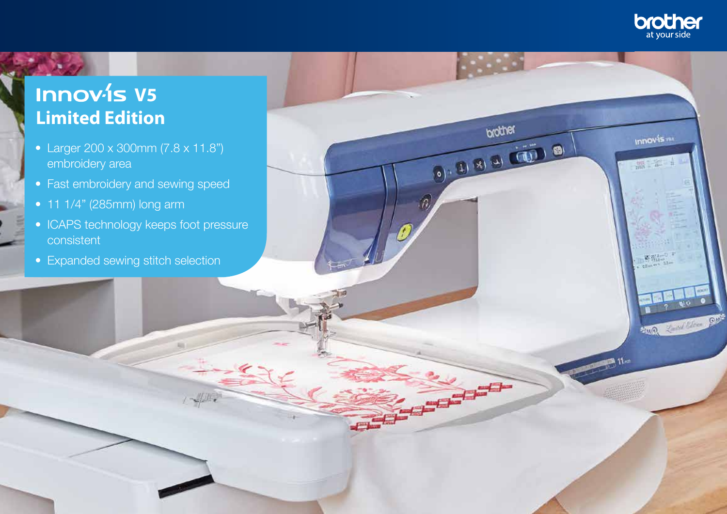

**Innovis** var

调和

 $BIO$  0

**SUR COMPANY AND** 

brother

10) 12/18/14/15 16

 $\widehat{n}$ 

## **Innov-is V5 Limited Edition**

- Larger 200 x 300mm (7.8 x 11.8") embroidery area
- Fast embroidery and sewing speed
- 11 1/4" (285mm) long arm
- ICAPS technology keeps foot pressure consistent
- Expanded sewing stitch selection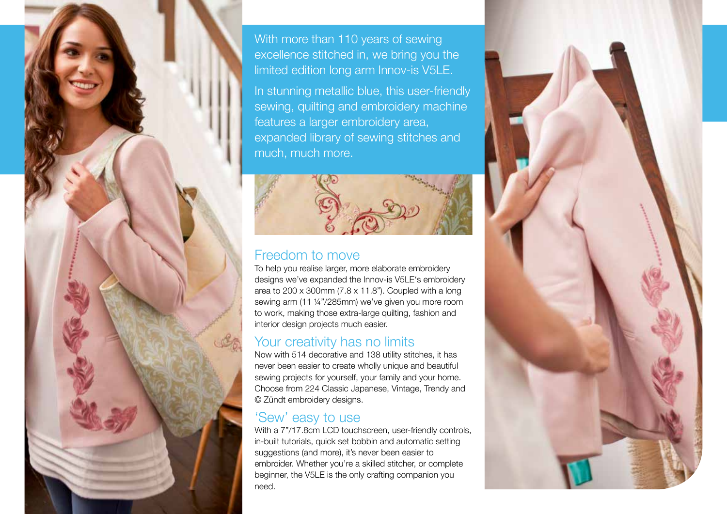

With more than 110 years of sewing excellence stitched in, we bring you the limited edition long arm Innov‑is V5LE.

In stunning metallic blue, this user-friendly sewing, quilting and embroidery machine features a larger embroidery area, expanded library of sewing stitches and much, much more.



## Freedom to move

To help you realise larger, more elaborate embroidery designs we've expanded the Innov‑is V5LE's embroidery area to 200 x 300mm (7.8 x 11.8"). Coupled with a long sewing arm (11 ¼"/285mm) we've given you more room to work, making those extra-large quilting, fashion and interior design projects much easier.

## Your creativity has no limits

Now with 514 decorative and 138 utility stitches, it has never been easier to create wholly unique and beautiful sewing projects for yourself, your family and your home. Choose from 224 Classic Japanese, Vintage, Trendy and © Zündt embroidery designs.

## 'Sew' easy to use

With a  $7"$ /17.8cm LCD touchscreen, user-friendly controls, in-built tutorials, quick set bobbin and automatic setting suggestions (and more), it's never been easier to embroider. Whether you're a skilled stitcher, or complete beginner, the V5LE is the only crafting companion you need.

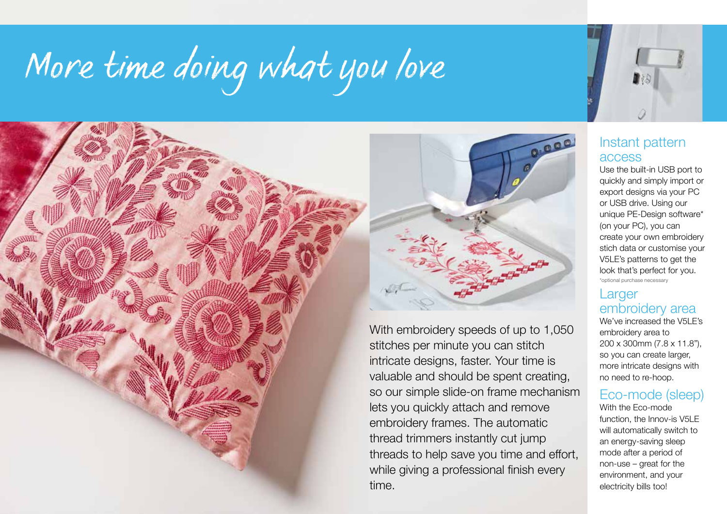## *More time doing what you love*





With embroidery speeds of up to 1,050 stitches per minute you can stitch intricate designs, faster. Your time is valuable and should be spent creating, so our simple slide-on frame mechanism lets you quickly attach and remove embroidery frames. The automatic thread trimmers instantly cut jump threads to help save you time and effort, while giving a professional finish every time.



Use the built-in USB port to quickly and simply import or export designs via your PC or USB drive. Using our unique PE-Design software\* (on your PC), you can create your own embroidery stich data or customise your V5LE's patterns to get the look that's perfect for you. \*optional purchase necessary

## **Larger** embroidery area<br>We've increased the V5LE's

embroidery area to 200 x 300mm (7.8 x 11.8"), so you can create larger, more intricate designs with no need to re-hoop.

## Eco-mode (sleep)

With the Eco-mode function, the Innov-is V5LE will automatically switch to an energy-saving sleep mode after a period of non-use – great for the environment, and your electricity bills too!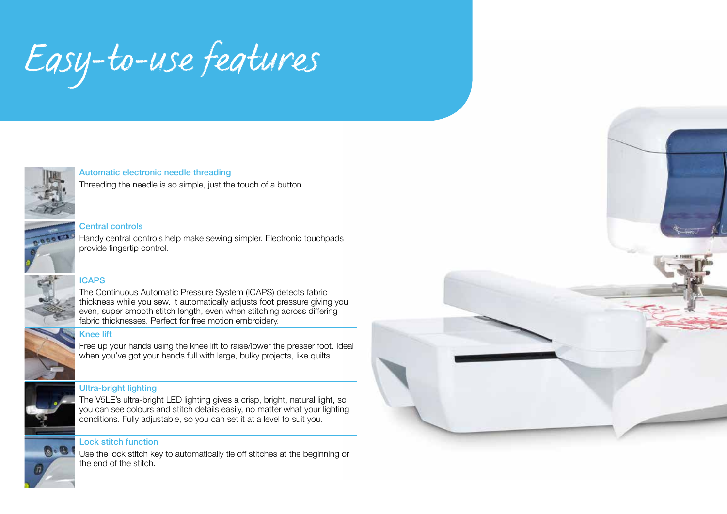## *Easy-to-use features*

#### Automatic electronic needle threading

Threading the needle is so simple, just the touch of a button.

#### Central controls

Handy central controls help make sewing simpler. Electronic touchpads provide fingertip control.

#### **ICAPS**



The Continuous Automatic Pressure System (ICAPS) detects fabric thickness while you sew. It automatically adjusts foot pressure giving you even, super smooth stitch length, even when stitching across differing fabric thicknesses. Perfect for free motion embroidery.

#### Knee lift



 $\mathbf{C} \cdot \mathbf{C}$ 

Free up your hands using the knee lift to raise/lower the presser foot. Ideal when you've got your hands full with large, bulky projects, like quilts.

#### Ultra-bright lighting



#### Lock stitch function

Use the lock stitch key to automatically tie off stitches at the beginning or the end of the stitch.

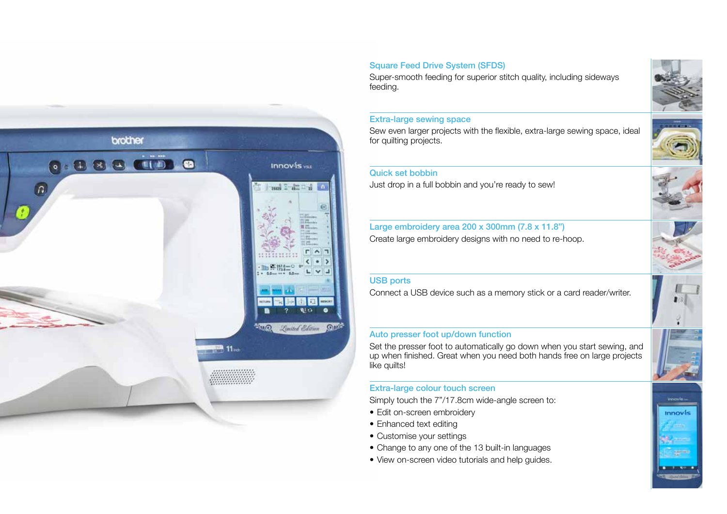

#### Square Feed Drive System (SFDS)

Super-smooth feeding for superior stitch quality, including sideways feeding.

#### Extra-large sewing space

Sew even larger projects with the flexible, extra-large sewing space, ideal for quilting projects.

#### Quick set bobbin

Just drop in a full bobbin and you're ready to sew!

#### Large embroidery area 200 x 300mm (7.8 x 11.8") Create large embroidery designs with no need to re-hoop.

#### USB ports

Connect a USB device such as a memory stick or a card reader/writer.

#### Auto presser foot up/down function

Set the presser foot to automatically go down when you start sewing, and up when finished. Great when you need both hands free on large projects like quilts!

#### Extra-large colour touch screen

Simply touch the 7"/17.8cm wide-angle screen to:

- Edit on-screen embroidery
- Enhanced text editing
- Customise your settings
- Change to any one of the 13 built-in languages
- View on-screen video tutorials and help quides.









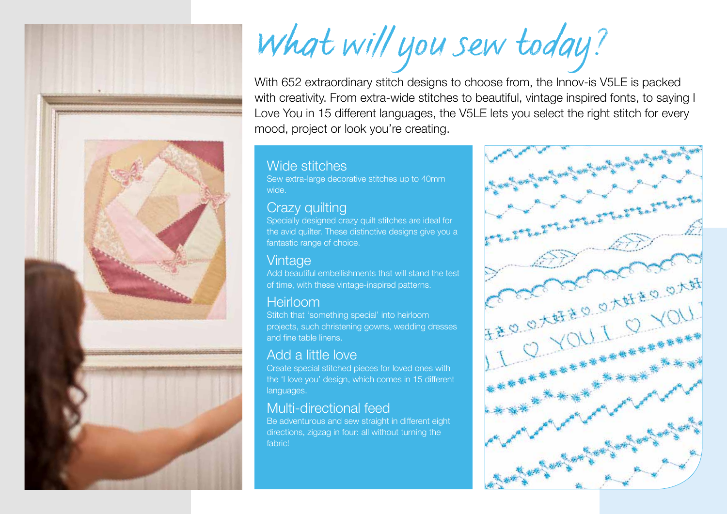

## *What will you sew today?*

With 652 extraordinary stitch designs to choose from, the Innov-is V5LE is packed with creativity. From extra-wide stitches to beautiful, vintage inspired fonts, to saying I Love You in 15 different languages, the V5LE lets you select the right stitch for every mood, project or look you're creating.

### Wide stitches

Sew extra-large decorative stitches up to 40mm wide.

## Crazy quilting

Specially designed crazy quilt stitches are ideal for the avid quilter. These distinctive designs give you a fantastic range of choice.

## **Vintage**

Add beautiful embellishments that will stand the test of time, with these vintage-inspired patterns.

## Heirloom

Stitch that 'something special' into heirloom projects, such christening gowns, wedding dresses and fine table linens.

## Add a little love

Create special stitched pieces for loved ones with the 'I love you' design, which comes in 15 different languages.

## Multi-directional feed

Be adventurous and sew straight in different eight directions, zigzag in four: all without turning the fabric!

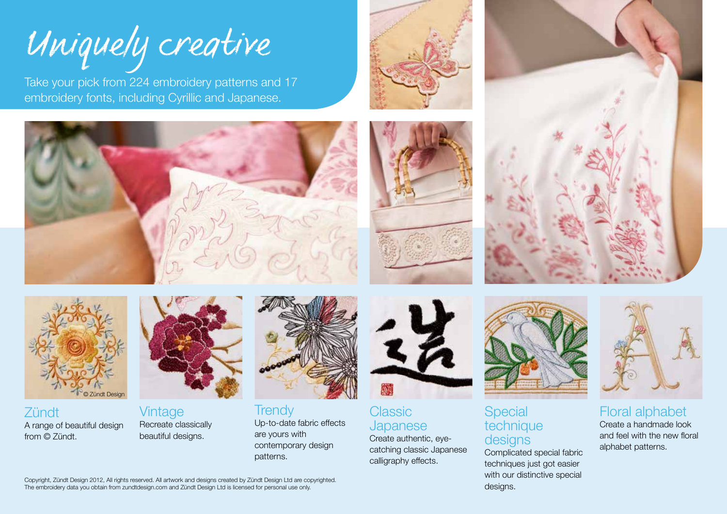

Take your pick from 224 embroidery patterns and 17 embroidery fonts, including Cyrillic and Japanese.









**Zündt** A range of beautiful design from © Zündt.



Vintage Recreate classically beautiful designs.



**Trendy** Up-to-date fabric effects are yours with contemporary design patterns.



**Classic Japanese** Create authentic, eye-

catching classic Japanese calligraphy effects.



### Special technique designs

Complicated special fabric techniques just got easier with our distinctive special designs.



Floral alphabet Create a handmade look and feel with the new floral alphabet patterns.

Copyright, Zündt Design 2012, All rights reserved. All artwork and designs created by Zündt Design Ltd are copyrighted. The embroidery data you obtain from zundtdesign.com and Zündt Design Ltd is licensed for personal use only.